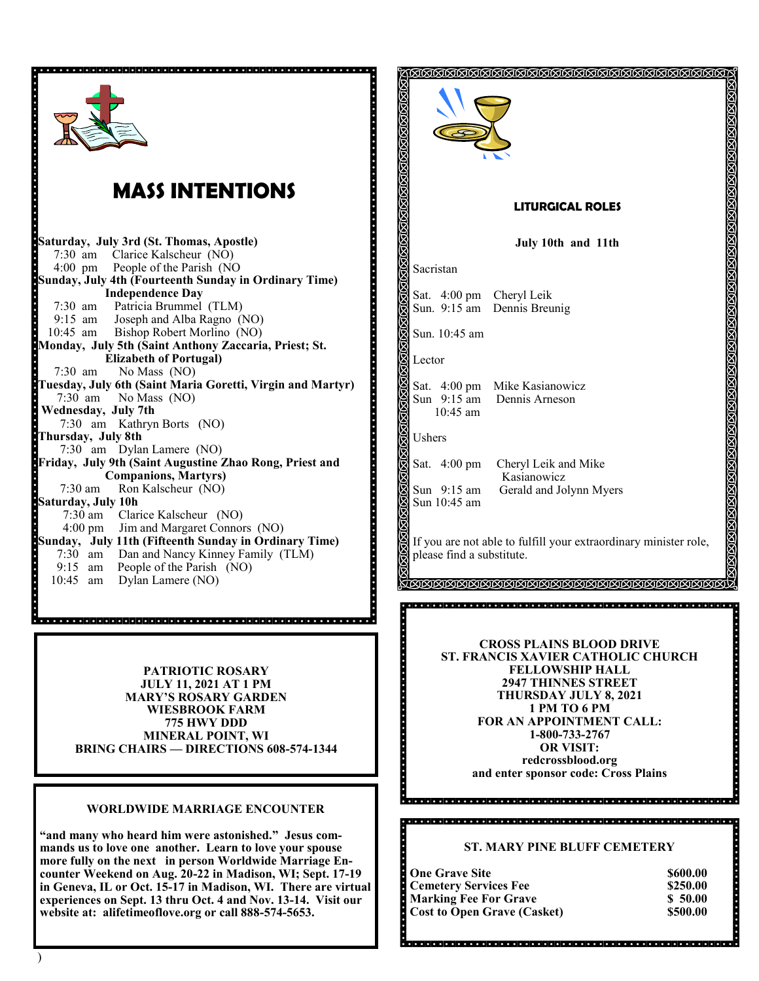

# **MASS INTENTIONS**

**Saturday, July 3rd (St. Thomas, Apostle)**  7:30 am Clarice Kalscheur (NO) 4:00 pm People of the Parish (NO **Sunday, July 4th (Fourteenth Sunday in Ordinary Time) Independence Day** 7:30 am Patricia Brummel (TLM)<br>9:15 am Joseph and Alba Ragno (1) 9:15 am Joseph and Alba Ragno (NO)<br>10:45 am Bishop Robert Morlino (NO) Bishop Robert Morlino (NO) **Monday, July 5th (Saint Anthony Zaccaria, Priest; St. Elizabeth of Portugal)** 7:30 am No Mass (NO) **Tuesday, July 6th (Saint Maria Goretti, Virgin and Martyr)** 7:30 am No Mass (NO) **Wednesday, July 7th** 7:30 am Kathryn Borts (NO) **Thursday, July 8th** 7:30 am Dylan Lamere (NO) **Friday, July 9th (Saint Augustine Zhao Rong, Priest and Companions, Martyrs)** 7:30 am Ron Kalscheur (NO) **Saturday, July 10h** 7:30 am Clarice Kalscheur (NO) 4:00 pm Jim and Margaret Connors (NO) **Sunday, July 11th (Fifteenth Sunday in Ordinary Time)** 7:30 am Dan and Nancy Kinney Family (TLM) 9:15 am People of the Parish (NO)<br>10:45 am Dylan Lamere (NO) Dylan Lamere (NO)

> **PATRIOTIC ROSARY JULY 11, 2021 AT 1 PM MARY'S ROSARY GARDEN WIESBROOK FARM 775 HWY DDD MINERAL POINT, WI BRING CHAIRS — DIRECTIONS 608-574-1344**

#### **WORLDWIDE MARRIAGE ENCOUNTER**

**"and many who heard him were astonished." Jesus commands us to love one another. Learn to love your spouse more fully on the next in person Worldwide Marriage Encounter Weekend on Aug. 20-22 in Madison, WI; Sept. 17-19 in Geneva, IL or Oct. 15-17 in Madison, WI. There are virtual experiences on Sept. 13 thru Oct. 4 and Nov. 13-14. Visit our website at: alifetimeoflove.org or call 888-574-5653.**